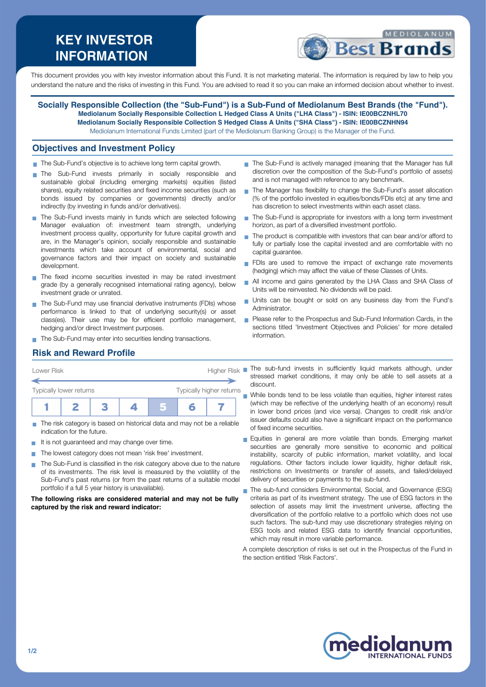# **KEY INVESTOR INFORMATION**



This document provides you with key investor information about this Fund. It is not marketing material. The information is required by law to help you understand the nature and the risks of investing in this Fund. You are advised to read it so you can make an informed decision about whether to invest.

**Socially Responsible Collection (the "Sub-Fund") is a Sub-Fund of Mediolanum Best Brands (the "Fund"). Mediolanum Socially Responsible Collection L Hedged Class A Units ("LHA Class") - ISIN: IE00BCZNHL70 Mediolanum Socially Responsible Collection S Hedged Class A Units ("SHA Class") - ISIN: IE00BCZNHN94** Mediolanum International Funds Limited (part of the Mediolanum Banking Group) is the Manager of the Fund.

#### **Objectives and Investment Policy**

- The Sub-Fund's objective is to achieve long term capital growth.
- The Sub-Fund invests primarily in socially responsible and sustainable global (including emerging markets) equities (listed shares), equity related securities and fixed income securities (such as bonds issued by companies or governments) directly and/or indirectly (by investing in funds and/or derivatives).
- The Sub-Fund invests mainly in funds which are selected following Manager evaluation of: investment team strength, underlying investment process quality, opportunity for future capital growth and are, in the Manager's opinion, socially responsible and sustainable investments which take account of environmental, social and governance factors and their impact on society and sustainable development.
- The fixed income securities invested in may be rated investment grade (by a generally recognised international rating agency), below investment grade or unrated.
- The Sub-Fund may use financial derivative instruments (FDIs) whose performance is linked to that of underlying security(s) or asset class(es). Their use may be for efficient portfolio management, hedging and/or direct Investment purposes.
- The Sub-Fund may enter into securities lending transactions.
- The Sub-Fund is actively managed (meaning that the Manager has full discretion over the composition of the Sub-Fund's portfolio of assets) and is not managed with reference to any benchmark.
- The Manager has flexibility to change the Sub-Fund's asset allocation (% of the portfolio invested in equities/bonds/FDIs etc) at any time and has discretion to select investments within each asset class.
- The Sub-Fund is appropriate for investors with a long term investment horizon, as part of a diversified investment portfolio.
- The product is compatible with investors that can bear and/or afford to fully or partially lose the capital invested and are comfortable with no capital guarantee.
- FDIs are used to remove the impact of exchange rate movements (hedging) which may affect the value of these Classes of Units.
- All income and gains generated by the LHA Class and SHA Class of  $\overline{\phantom{a}}$ Units will be reinvested. No dividends will be paid.
- Units can be bought or sold on any business day from the Fund's Administrator.
- **Please refer to the Prospectus and Sub-Fund Information Cards, in the** sections titled 'Investment Objectives and Policies' for more detailed information.

## **Risk and Reward Profile**

| Lower Risk              |  |  |  | <b>Higher Risk</b>       |   |  |  |
|-------------------------|--|--|--|--------------------------|---|--|--|
| Typically lower returns |  |  |  | Typically higher returns |   |  |  |
|                         |  |  |  |                          | F |  |  |

- The risk category is based on historical data and may not be a reliable indication for the future.
- It is not quaranteed and may change over time.
- The lowest category does not mean 'risk free' investment.
- The Sub-Fund is classified in the risk category above due to the nature of its investments. The risk level is measured by the volatility of the Sub-Fund's past returns (or from the past returns of a suitable model portfolio if a full 5 year history is unavailable).

**The following risks are considered material and may not be fully captured by the risk and reward indicator:**

The sub-fund invests in sufficiently liquid markets although, under stressed market conditions, it may only be able to sell assets at a discount.

While bonds tend to be less volatile than equities, higher interest rates (which may be reflective of the underlying health of an economy) result in lower bond prices (and vice versa). Changes to credit risk and/or issuer defaults could also have a significant impact on the performance of fixed income securities.

- Equities in general are more volatile than bonds. Emerging market securities are generally more sensitive to economic and political instability, scarcity of public information, market volatility, and local regulations. Other factors include lower liquidity, higher default risk, restrictions on Investments or transfer of assets, and failed/delayed delivery of securities or payments to the sub-fund.
- The sub-fund considers Environmental, Social, and Governance (ESG) criteria as part of its investment strategy. The use of ESG factors in the selection of assets may limit the investment universe, affecting the diversification of the portfolio relative to a portfolio which does not use such factors. The sub-fund may use discretionary strategies relying on ESG tools and related ESG data to identify financial opportunities, which may result in more variable performance.

A complete description of risks is set out in the Prospectus of the Fund in the section entitled 'Risk Factors'.